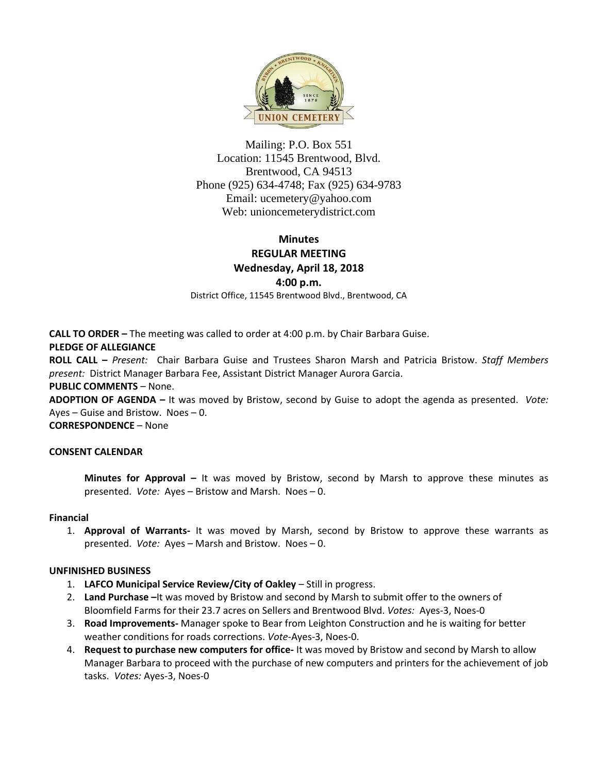

Mailing: P.O. Box 551 Location: 11545 Brentwood, Blvd. Brentwood, CA 94513 Phone (925) 634-4748; Fax (925) 634-9783 Email: [ucemetery@yahoo.com](mailto:ucemetery@yahoo.com) Web: unioncemeterydistrict.com

# **Minutes REGULAR MEETING Wednesday, April 18, 2018 4:00 p.m.**

District Office, 11545 Brentwood Blvd., Brentwood, CA

**CALL TO ORDER –** The meeting was called to order at 4:00 p.m. by Chair Barbara Guise.

## **PLEDGE OF ALLEGIANCE**

**ROLL CALL –** *Present:* Chair Barbara Guise and Trustees Sharon Marsh and Patricia Bristow. *Staff Members present:* District Manager Barbara Fee, Assistant District Manager Aurora Garcia.

## **PUBLIC COMMENTS** – None.

**ADOPTION OF AGENDA –** It was moved by Bristow, second by Guise to adopt the agenda as presented. *Vote:*  Ayes – Guise and Bristow. Noes – 0.

**CORRESPONDENCE** – None

## **CONSENT CALENDAR**

**Minutes for Approval –** It was moved by Bristow, second by Marsh to approve these minutes as presented. *Vote:* Ayes – Bristow and Marsh. Noes – 0.

#### **Financial**

1. **Approval of Warrants-** It was moved by Marsh, second by Bristow to approve these warrants as presented. *Vote:* Ayes – Marsh and Bristow. Noes – 0.

## **UNFINISHED BUSINESS**

- 1. **LAFCO Municipal Service Review/City of Oakley** Still in progress.
- 2. **Land Purchase –**It was moved by Bristow and second by Marsh to submit offer to the owners of Bloomfield Farms for their 23.7 acres on Sellers and Brentwood Blvd. *Votes:* Ayes-3, Noes-0
- 3. **Road Improvements-** Manager spoke to Bear from Leighton Construction and he is waiting for better weather conditions for roads corrections. *Vote-*Ayes-3, Noes-0.
- 4. **Request to purchase new computers for office-** It was moved by Bristow and second by Marsh to allow Manager Barbara to proceed with the purchase of new computers and printers for the achievement of job tasks. *Votes:* Ayes-3, Noes-0